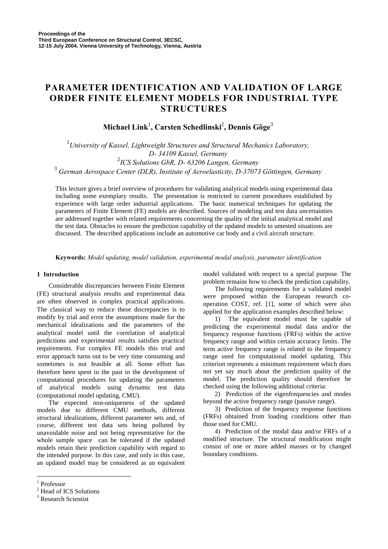# **PARAMETER IDENTIFICATION AND VALIDATION OF LARGE ORDER FINITE ELEMENT MODELS FOR INDUSTRIAL TYPE STRUCTURES**

 $\mathbf{Michael}\ \mathbf{Link}^1,\ \mathbf{Carsten}\ \mathbf{Schedulingki}^2,\ \mathbf{Dennis}\ \mathbf{Göge}^3$ 

 *University of Kassel, Lightweight Structures and Structural Mechanics Laboratory, D- 34109 Kassel, Germany ICS Solutions GbR, D- 63206 Langen, Germany German Aerospace Center (DLR), Institute of Aeroelasticity, D-37073 Göttingen, Germany* 

This lecture gives a brief overview of procedures for validating analytical models using experimental data including some exemplary results. The presentation is restricted to current procedures established by experience with large order industrial applications. The basic numerical techniques for updating the parameters of Finite Element (FE) models are described. Sources of modeling and test data uncertainties are addressed together with related requirements concerning the quality of the initial analytical model and the test data. Obstacles to ensure the prediction capability of the updated models to untested situations are discussed. The described applications include an automotive car body and a civil aircraft structure.

**Keywords:** *Model updating, model validation, experimental modal analysis, parameter identification*

## **1 Introduction**

Considerable discrepancies between Finite Element (FE) structural analysis results and experimental data are often observed in complex practical applications. The classical way to reduce these discrepancies is to modify by trial and error the assumptions made for the mechanical idealizations and the parameters of the analytical model until the correlation of analytical predictions and experimental results satisfies practical requirements. For complex FE models this trial and error approach turns out to be very time consuming and sometimes is not feasible at all. Some effort has therefore been spent in the past in the development of computational procedures for updating the parameters of analytical models using dynamic test data (computational model updating, CMU).

The expected non-uniqueness of the updated models due to different CMU methods, different structural idealizations, different parameter sets and, of course, different test data sets being polluted by unavoidable noise and not being representative for the whole sample space can be tolerated if the updated models retain their prediction capability with regard to the intended purpose. In this case, and only in this case, an updated model may be considered as an equivalent model validated with respect to a special purpose. The problem remains how to check the prediction capability.

The following requirements for a validated model were proposed within the European research cooperation COST, ref. [1], some of which were also applied for the application examples described below:

1) The equivalent model must be capable of predicting the experimental modal data and/or the frequency response functions (FRFs) within the active frequency range and within certain accuracy limits. The term active frequency range is related to the frequency range used for computational model updating. This criterion represents a minimum requirement which does not yet say much about the prediction quality of the model. The prediction quality should therefore be checked using the following additional criteria:

2) Prediction of the eigenfrequencies and modes beyond the active frequency range (passive range).

3) Prediction of the frequency response functions (FRFs) obtained from loading conditions other than those used for CMU.

4) Prediction of the modal data and/or FRFs of a modified structure. The structural modification might consist of one or more added masses or by changed boundary conditions.

 $\overline{a}$ 

<sup>1</sup> Professor

<sup>&</sup>lt;sup>2</sup> Head of ICS Solutions

<sup>&</sup>lt;sup>3</sup> Research Scientist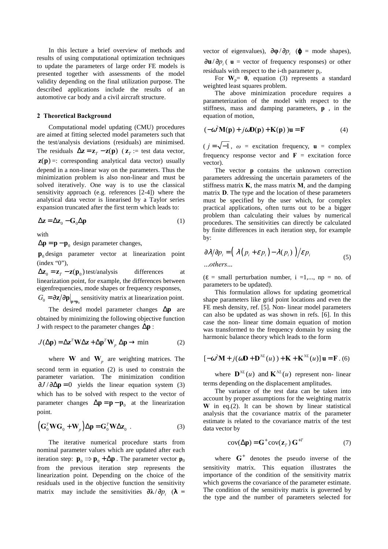In this lecture a brief overview of methods and results of using computational optimization techniques to update the parameters of large order FE models is presented together with assessments of the model validity depending on the final utilization purpose. The described applications include the results of an automotive car body and a civil aircraft structure.

#### **2 Theoretical Background**

Computational model updating (CMU) procedures are aimed at fitting selected model parameters such that the test/analysis deviations (residuals) are minimised. The residuals  $\Delta z = z_T - z(p)$  ( $z_T =$  test data vector,  $z(p) =$ : corresponding analytical data vector) usually depend in a non-linear way on the parameters. Thus the minimization problem is also non-linear and must be solved iteratively. One way is to use the classical sensitivity approach (e.g. references [2-4]) where the analytical data vector is linearised by a Taylor series expansion truncated after the first term which leads to:

$$
\Delta z = \Delta z_0 - G_0 \Delta p \tag{1}
$$

with

 $\Delta p = p - p_0$  design parameter changes,

**p**<sub>0</sub> design parameter vector at linearization point (index "0"),

 $\Delta z_0 = z_T - z(p_0)$  test/analysis differences at linearization point, for example, the differences between eigenfrequencies, mode shapes or frequency responses,

 $G_0 = \partial z / \partial p \big|_{p=p_0}$  sensitivity matrix at linearization point.

The desired model parameter changes ∆**p** are obtained by minimizing the following objective function J with respect to the parameter changes ∆**p** :

$$
J(\Delta \mathbf{p}) = \Delta \mathbf{z}^T \mathbf{W} \Delta \mathbf{z} + \Delta \mathbf{p}^T \mathbf{W}_p \Delta \mathbf{p} \to \min
$$
 (2)

where **W** and  $W_p$  are weighting matrices. The second term in equation (2) is used to constrain the parameter variation. The minimization condition  $\partial J / \partial \Delta p = 0$  yields the linear equation system (3) which has to be solved with respect to the vector of parameter changes  $\Delta p = p - p_0$  at the linearization point.

$$
\left(\mathbf{G}_0^T \mathbf{W} \mathbf{G}_0 + \mathbf{W}_p\right) \Delta \mathbf{p} = \mathbf{G}_0^T \mathbf{W} \Delta \mathbf{z}_0 \tag{3}
$$

The iterative numerical procedure starts from nominal parameter values which are updated after each iteration step:  $\mathbf{p}_0 \Rightarrow \mathbf{p}_0 + \Delta \mathbf{p}$ . The parameter vector  $\mathbf{p}_0$ from the previous iteration step represents the linearization point. Depending on the choice of the residuals used in the objective function the sensitivity matrix may include the sensitivities  $\partial \lambda / \partial p_i$  ( $\lambda$  = vector of eigenvalues),  $\frac{\partial \phi}{\partial p_i}$  ( $\phi$  = mode shapes),  $\frac{\partial \mathbf{u}}{\partial p_i}$  ( **u** = vector of frequency responses) or other residuals with respect to the i-th parameter pi.

For  $W_p = 0$ , equation (3) represents a standard weighted least squares problem.

The above minimization procedure requires a parameterization of the model with respect to the stiffness, mass and damping parameters, **p** , in the equation of motion,

$$
(-\omega^2 \mathbf{M}(\mathbf{p}) + j\omega \mathbf{D}(\mathbf{p}) + \mathbf{K}(\mathbf{p})\,\mathbf{u} = \mathbf{F} \tag{4}
$$

 $(j = \sqrt{-1}, \omega =$  excitation frequency,  $\mathbf{u} =$  complex frequency response vector and  $\mathbf{F}$  = excitation force vector).

The vector **p** contains the unknown correction parameters addressing the uncertain parameters of the stiffness matrix **K**, the mass matrix **M**, and the damping matrix **D**. The type and the location of these parameters must be specified by the user which, for complex practical applications, often turns out to be a bigger problem than calculating their values by numerical procedures. The sensitivities can directly be calculated by finite differences in each iteration step, for example by:

$$
\frac{\partial \lambda}{\partial p_i} = \left( \frac{\lambda (p_i + \varepsilon p_i) - \lambda (p_i)}{\varepsilon} \right) / \varepsilon p_i
$$
\n
$$
\dots \text{others...} \tag{5}
$$

 $(\varepsilon = \text{small perturbation number}, i = 1,..., np = no.$  of parameters to be updated).

This formulation allows for updating geometrical shape parameters like grid point locations and even the FE mesh density, ref. [5]. Non- linear model parameters can also be updated as was shown in refs. [6]. In this case the non- linear time domain equation of motion was transformed to the frequency domain by using the harmonic balance theory which leads to the form

$$
[-\omega^2 \mathbf{M} + j(\omega \mathbf{D} + \mathbf{D}^{NL}(u)) + \mathbf{K} + \mathbf{K}^{NL}(u)] \mathbf{u} = \mathbf{F} \ . (6)
$$

where  $\mathbf{D}^{NL}(u)$  and  $\mathbf{K}^{NL}(u)$  represent non- linear terms depending on the displacement amplitudes.

The variance of the test data can be taken into account by proper assumptions for the weighting matrix **W** in eq.(2). It can be shown by linear statistical analysis that the covariance matrix of the parameter estimate is related to the covariance matrix of the test data vector by

$$
cov(\Delta p) = G^{+} cov(\mathbf{z}_{T}) G^{+T}
$$
 (7)

where  $G^+$  denotes the pseudo inverse of the sensitivity matrix. This equation illustrates the importance of the condition of the sensitivity matrix which governs the covariance of the parameter estimate. The condition of the sensitivity matrix is governed by the type and the number of parameters selected for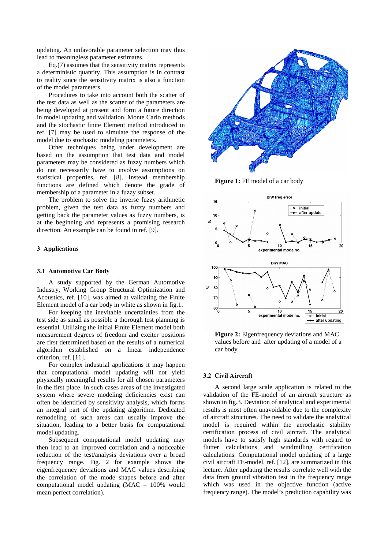updating. An unfavorable parameter selection may thus lead to meaningless parameter estimates.

Eq.(7) assumes that the sensitivity matrix represents a deterministic quantity. This assumption is in contrast to reality since the sensitivity matrix is also a function of the model parameters.

Procedures to take into account both the scatter of the test data as well as the scatter of the parameters are being developed at present and form a future direction in model updating and validation. Monte Carlo methods and the stochastic finite Element method introduced in ref. [7] may be used to simulate the response of the model due to stochastic modeling parameters.

Other techniques being under development are based on the assumption that test data and model parameters may be considered as fuzzy numbers which do not necessarily have to involve assumptions on statistical properties, ref. [8]. Instead membership functions are defined which denote the grade of membership of a parameter in a fuzzy subset.

The problem to solve the inverse fuzzy arithmetic problem, given the test data as fuzzy numbers and getting back the parameter values as fuzzy numbers, is at the beginning and represents a promising research direction. An example can be found in ref. [9].

## **3 Applications**

#### **3.1 Automotive Car Body**

A study supported by the German Automotive Industry, Working Group Structural Optimization and Acoustics, ref. [10], was aimed at validating the Finite Element model of a car body in white as shown in fig.1.

For keeping the inevitable uncertainties from the test side as small as possible a thorough test planning is essential. Utilizing the initial Finite Element model both measurement degrees of freedom and exciter positions are first determined based on the results of a numerical algorithm established on a linear independence criterion, ref. [11].

For complex industrial applications it may happen that computational model updating will not yield physically meaningful results for all chosen parameters in the first place. In such cases areas of the investigated system where severe modeling deficiencies exist can often be identified by sensitivity analysis, which forms an integral part of the updating algorithm. Dedicated remodeling of such areas can usually improve the situation, leading to a better basis for computational model updating.

Subsequent computational model updating may then lead to an improved correlation and a noticeable reduction of the test/analysis deviations over a broad frequency range. Fig. 2 for example shows the eigenfrequency deviations and MAC values describing the correlation of the mode shapes before and after computational model updating (MAC = 100% would mean perfect correlation).



Figure 1: FE model of a car body



**Figure 2:** Eigenfrequency deviations and MAC values before and after updating of a model of a car body

#### **3.2 Civil Aircraft**

A second large scale application is related to the validation of the FE-model of an aircraft structure as shown in fig.3. Deviation of analytical and experimental results is most often unavoidable due to the complexity of aircraft structures. The need to validate the analytical model is required within the aeroelastic stability certification process of civil aircraft. The analytical models have to satisfy high standards with regard to flutter calculations and windmilling certification calculations. Computational model updating of a large civil aircraft FE-model, ref. [12], are summarized in this lecture. After updating the results correlate well with the data from ground vibration test in the frequency range which was used in the objective function (active frequency range). The model's prediction capability was